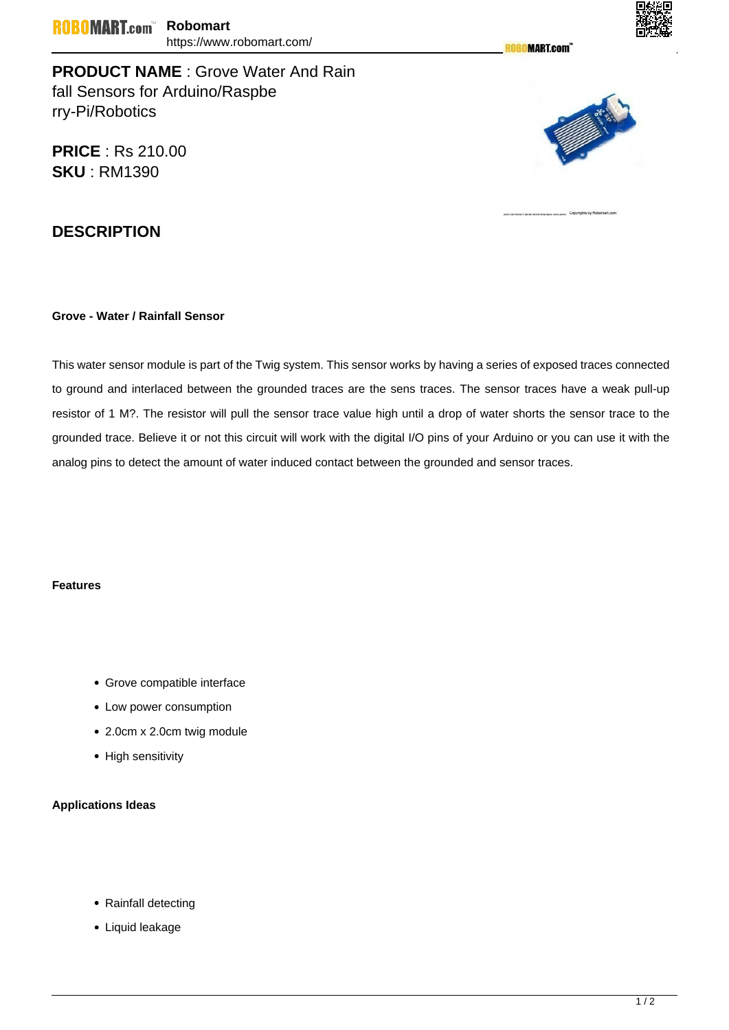**MART.com** 



**PRODUCT NAME** : Grove Water And Rain fall Sensors for Arduino/Raspbe rry-Pi/Robotics

**PRICE** : Rs 210.00 **SKU** : RM1390



## **DESCRIPTION**

## **Grove - Water / Rainfall Sensor**

This water sensor module is part of the Twig system. This sensor works by having a series of exposed traces connected to ground and interlaced between the grounded traces are the sens traces. The sensor traces have a weak pull-up resistor of 1 M?. The resistor will pull the sensor trace value high until a drop of water shorts the sensor trace to the grounded trace. Believe it or not this circuit will work with the digital I/O pins of your Arduino or you can use it with the analog pins to detect the amount of water induced contact between the grounded and sensor traces.

## **Features**

- Grove compatible interface
- Low power consumption
- 2.0cm x 2.0cm twig module
- High sensitivity

## **Applications Ideas**

- Rainfall detecting
- Liquid leakage